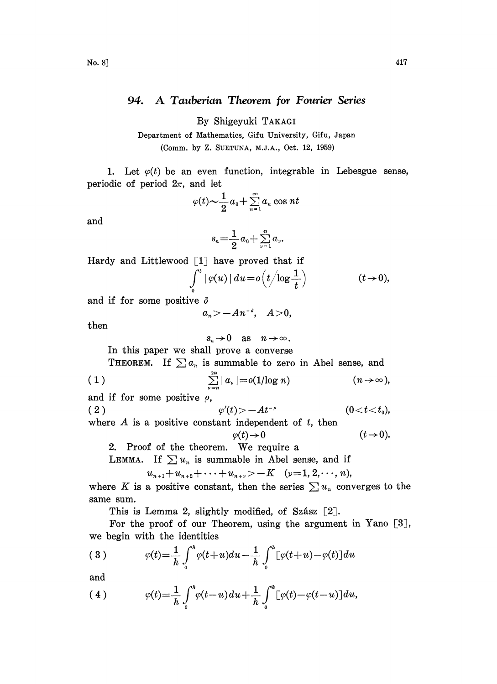## 94. A Tauberian Theorem for Fourier Series

By Shigeyuki TAKAGI

Department of Mathematics, Gifu University, Gifu, Japan (Comm. by Z. SUETUNA, M.J.A., Oct. 12, 1959)

periodic of period  $2\pi$ , and let 1. Let  $\varphi(t)$  be an even function, integrable in Lebesgue sense,

$$
\varphi(t) \sim \frac{1}{2} a_0 + \sum_{n=1}^{\infty} a_n \cos nt
$$

and

$$
\begin{aligned}\n&\sim \frac{1}{2}a_0 + \sum_{n=1}^{\infty} a_n \cos nt \\
&s_n = \frac{1}{2}a_0 + \sum_{\nu=1}^n a_\nu.\n\end{aligned}
$$

Hardy and Littlewood  $\lceil 1 \rceil$  have proved that if

$$
\int\limits_{0}^{t}|\varphi(u)|\,du\!=\!o\Big(t\!\Big/\!\log\frac{1}{t}\Big)\qquad \qquad (t\!\to\!0),
$$

and if for some positive  $\delta$ 

 $a_n > -An^{-\delta}, \quad A>0,$ 

then

 $s_n\to 0$  as  $n\to\infty$ . In this paper we shall prove a converse THEOREM. If  $\sum a_n$  is summable to zero in Abel sense, and

(1) 
$$
\sum_{\nu=n}^{2n} |a_{\nu}| = o(1/\log n) \qquad (n \to \infty),
$$

and if for some positive  $\rho$ ,

(2)  $\varphi'(t) > -At^{-\rho}$ 

(2)  $\varphi'(t) > -At^{-\rho}$  (0<t<t<sub>0</sub>), where A is a positive constant independent of t, then

$$
\varphi(t)\!\to\!0
$$

 $(t\rightarrow 0)$ .

2. Proof of the theorem. We require <sup>a</sup>

LEMMA. If  $\sum u_n$  is summable in Abel sense, and if

$$
u_{n+1}+u_{n+2}+\cdots+u_{n+\nu} > -K \quad (\nu=1, 2, \cdots, n),
$$

where K is a positive constant, then the series  $\sum u_n$  converges to the same sum.

This is Lemma 2, slightly modified, of Szász  $[2]$ .

For the proof of our Theorem, using the argument in Yano  $[3]$ , we begin with the identities

(3) 
$$
\varphi(t) = \frac{1}{h} \int_0^h \varphi(t+u) du - \frac{1}{h} \int_0^h [\varphi(t+u) - \varphi(t)] du
$$

and

(4) 
$$
\varphi(t) = \frac{1}{h} \int_0^h \varphi(t-u) du + \frac{1}{h} \int_0^h \big[ \varphi(t) - \varphi(t-u) \big] du,
$$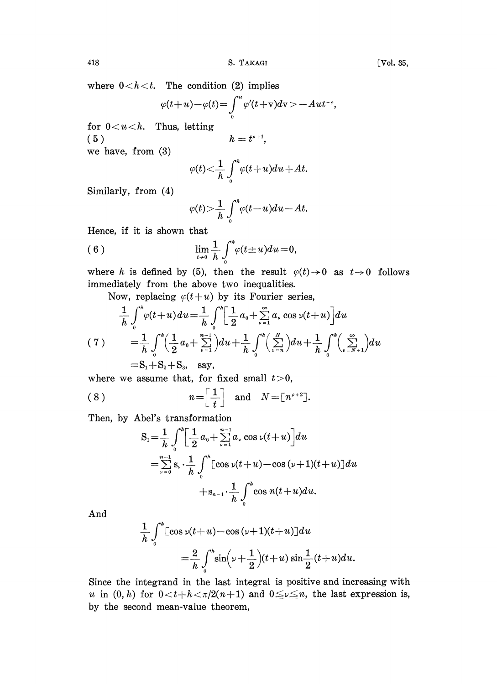where  $0 < h < t$ . The condition (2) implies

$$
\varphi(t+u)-\varphi(t)=\int_{0}^{u}\varphi'(t+v)dv=-Aut^{-\rho},
$$

for  $0 < u < h$ . Thus, letting (5)  $h=t^{p+1}$ , we have, from (3)

 $\varphi(t) < \frac{1}{h} \int_{0}^{h} \varphi(t+u) du + At.$ 

Similarly, from (4)

$$
\varphi(t) > \frac{1}{h} \int_0^h \varphi(t-u) du - At.
$$

Hence, if it is shown that

(6) 
$$
\lim_{t \to 0} \frac{1}{h} \int_{0}^{h} \varphi(t \pm u) du = 0,
$$

where h is defined by (5), then the result  $\varphi(t) \to 0$  as  $t \to 0$  follows immediately from the above two inequalities.

Now, replacing  $\varphi(t+u)$  by its Fourier series,

$$
\frac{1}{h} \int_{0}^{h} \varphi(t+u) du = \frac{1}{h} \int_{0}^{h} \left[ \frac{1}{2} a_{0} + \sum_{\nu=1}^{\infty} a_{\nu} \cos \nu(t+u) \right] du
$$
\n
$$
(7) \qquad = \frac{1}{h} \int_{0}^{h} \left( \frac{1}{2} a_{0} + \sum_{\nu=1}^{n-1} \right) du + \frac{1}{h} \int_{0}^{h} \left( \sum_{\nu=n}^{N} \right) du + \frac{1}{h} \int_{0}^{h} \left( \sum_{\nu=N+1}^{\infty} \right) du
$$
\n
$$
= S_{1} + S_{2} + S_{3}, \quad \text{say},
$$

where we assume that, for fixed small  $t>0$ ,

$$
(8) \t n = \left[\frac{1}{t}\right] \text{ and } N = \left[n^{\rho+2}\right].
$$

Then, by Abel's transformation

$$
S_{1} = \frac{1}{h} \int_{0}^{h} \left[ \frac{1}{2} a_{0} + \sum_{\nu=1}^{n-1} a_{\nu} \cos \nu (t+u) \right] du
$$
  
=  $\sum_{\nu=0}^{n-1} s_{\nu} \cdot \frac{1}{h} \int_{0}^{h} \left[ \cos \nu (t+u) - \cos (\nu+1)(t+u) \right] du$   
+  $s_{n-1} \cdot \frac{1}{h} \int_{0}^{h} \cos n(t+u) du$ .

And

$$
\frac{1}{h} \int_0^h \left[ \cos \nu (t+u) - \cos (\nu+1)(t+u) \right] du
$$
  
=  $\frac{2}{h} \int_0^h \sin (\nu+ \frac{1}{2}) (t+u) \sin \frac{1}{2} (t+u) du.$ 

Since the integrand in the last integral is positive and increasing with u in  $(0, h)$  for  $0 < t + h < \pi/2(n+1)$  and  $0 \le \nu \le n$ , the last expression is, by the second mean-value theorem,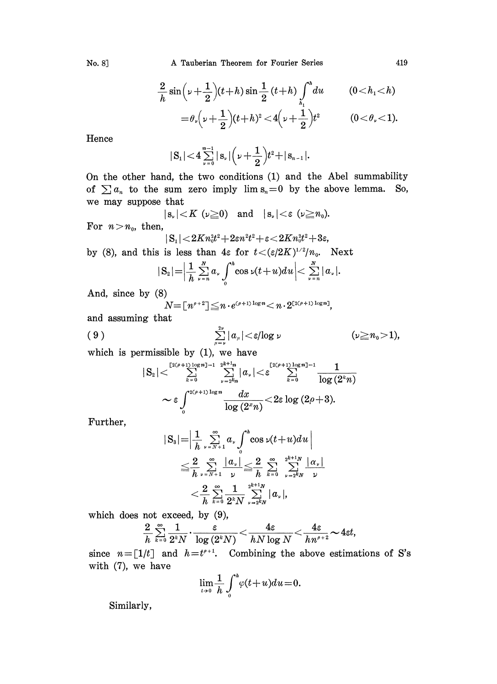A Tauberian Theorem for Fourier Series

$$
\frac{2}{h}\sin\left(\nu+\frac{1}{2}\right)(t+h)\sin\frac{1}{2}(t+h)\int_{h_1}^{h}du \qquad (0
$$
=\theta_{\nu}\left(\nu+\frac{1}{2}\right)(t+h)^2 < 4\left(\nu+\frac{1}{2}\right)t^2 \qquad (0<\theta_{\nu}<1).
$$
$$

Hence

No. 8]

$$
|S_1|<4\sum_{\nu=0}^{n-1}|s_{\nu}|\Big(\nu+\frac{1}{2}\Big)t^2+|s_{n-1}|.
$$

On the other hand, the two conditions (1) and the Abel summability of  $\sum a_n$  to the sum zero imply  $\lim s_n = 0$  by the above lemma. So, we may suppose that

$$
|s_{\nu}| < K \ (\nu \geq 0) \quad \text{and} \quad |s_{\nu}| < \varepsilon \ (\nu \geq n_0).
$$
\nFor  $n > n_0$ , then,

$$
|\,{\rm S}_1|\!<\!2Kn_0^2t^2\!+\!2\varepsilon n^2t^2\!+\!\varepsilon\!<\!2Kn_0^2t^2\!+\!3\varepsilon
$$

by (8), and this is less than 4 $\varepsilon$  for  $t < (\varepsilon/2K)^{1/2}/n_0$ . Next

$$
|S_2| = \left|\frac{1}{h}\sum_{\nu=n}^N a_\nu \int_0^h \cos \nu(t+u) du\right| < \sum_{\nu=n}^N |a_\nu|.
$$

And, since by (8)

$$
N = [n^{\rho+2}] \leq n \cdot e^{(\rho+1)\log n} < n \cdot 2^{\lfloor 2(\rho+1)\log n \rfloor},
$$

and assuming that

$$
\sum_{\mu=\nu}^{2\nu} |a_{\mu}| < \varepsilon/\log \nu \qquad (\nu \ge n_0 > 1),
$$

which is permissible by  $(1)$ , we have

$$
|S_2|<\sum_{k=0}^{\lfloor 2(\rho+1)\log n\rfloor-1}\sum_{\nu=2^{k_n}}^{2^{k+1_n}}|\alpha_{\nu}|<\varepsilon\sum_{k=0}^{\lfloor 2(\rho+1)\log n\rfloor-1}\frac{1}{\log\left(2^{k_n}\right)}\\ \sim \varepsilon\int\limits_0^{2(\rho+1)\log n}\frac{dx}{\log\left(2^{k_n}\right)}<2\varepsilon\log\left(2\rho+3\right).
$$

Further,

$$
S_3 = \left| \frac{1}{h} \sum_{\nu = N+1}^{\infty} a_{\nu} \int_0^h \cos \nu (t+u) du \right|
$$
  
\n
$$
\leq \frac{2}{h} \sum_{\nu = N+1}^{\infty} \frac{|a_{\nu}|}{\nu} \leq \frac{2}{h} \sum_{k=0}^{\infty} \sum_{\nu = 2^k N}^{2^{k+1}N} \frac{|a_{\nu}|}{\nu}
$$
  
\n
$$
< \frac{2}{h} \sum_{k=0}^{\infty} \frac{1}{2^k N} \sum_{\nu = 2^k N}^{2^{k+1}N} |a_{\nu}|,
$$

which does not exceed, by  $(9)$ ,

$$
\frac{2}{h}\sum\limits_{^{k=0}}^{\infty}\frac{1}{2^{^{k}N}}\cdot\frac{\varepsilon}{\log\left(2^{^{k}N}\right)}\!<\!\frac{4\varepsilon}{hN\log N}\!<\!\frac{4\varepsilon}{hn^{\rho+2}}\!\thicksim\!4\varepsilon t,
$$

since  $n = [1/t]$  and  $h = t^{e+1}$ . Combining the above estimations of S's with  $(7)$ , we have

$$
\lim_{t\to 0}\frac{1}{h}\int_0^h\varphi(t+u)du=0.
$$

Similarly,

419